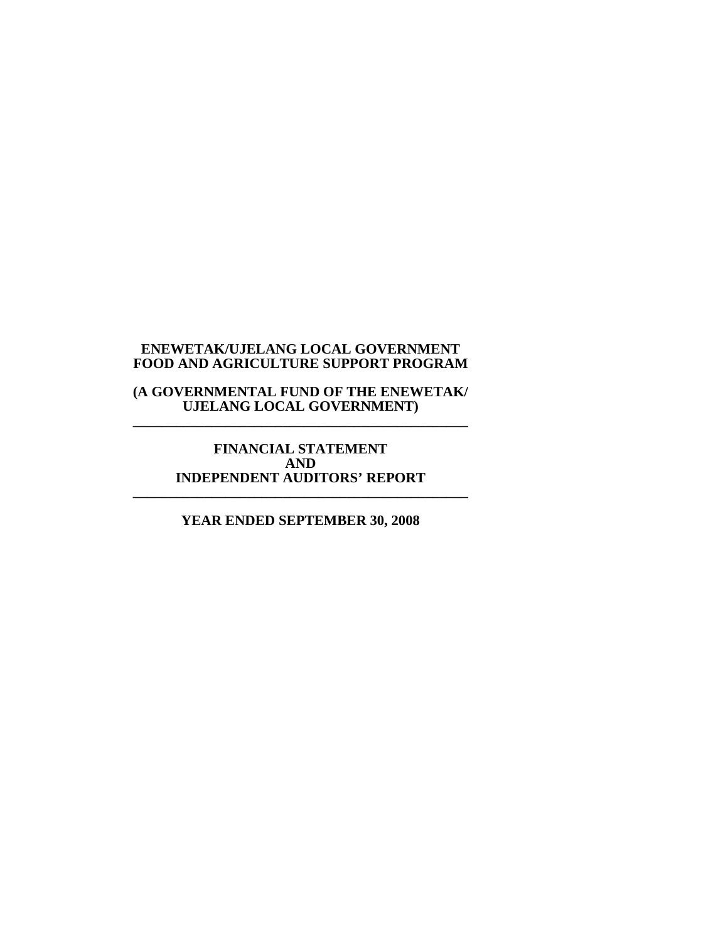**(A GOVERNMENTAL FUND OF THE ENEWETAK/ UJELANG LOCAL GOVERNMENT) \_\_\_\_\_\_\_\_\_\_\_\_\_\_\_\_\_\_\_\_\_\_\_\_\_\_\_\_\_\_\_\_\_\_\_\_\_\_\_\_\_\_\_\_\_\_\_** 

> **FINANCIAL STATEMENT AND INDEPENDENT AUDITORS' REPORT \_\_\_\_\_\_\_\_\_\_\_\_\_\_\_\_\_\_\_\_\_\_\_\_\_\_\_\_\_\_\_\_\_\_\_\_\_\_\_\_\_\_\_\_\_\_\_**

**YEAR ENDED SEPTEMBER 30, 2008**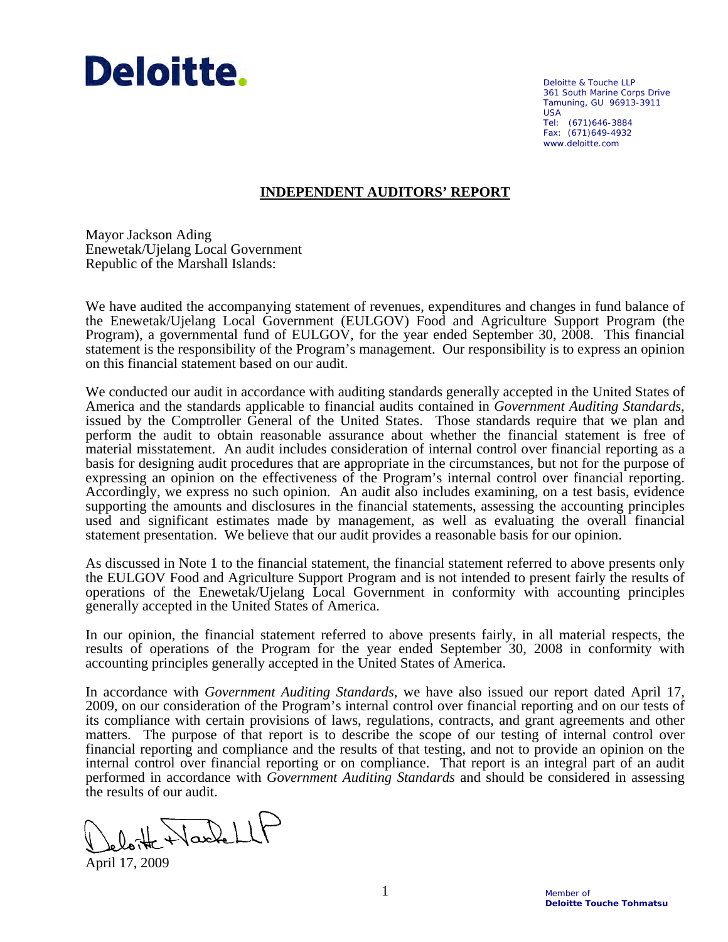

Deloitte & Touche LLP 361 South Marine Corps Drive Tamuning, GU 96913-3911 USA Tel: (671)646-3884 Fax: (671)649-4932 www.deloitte.com

# **INDEPENDENT AUDITORS' REPORT**

Mayor Jackson Ading Enewetak/Ujelang Local Government Republic of the Marshall Islands:

We have audited the accompanying statement of revenues, expenditures and changes in fund balance of the Enewetak/Ujelang Local Government (EULGOV) Food and Agriculture Support Program (the Program), a governmental fund of EULGOV, for the year ended September 30, 2008. This financial statement is the responsibility of the Program's management. Our responsibility is to express an opinion on this financial statement based on our audit.

We conducted our audit in accordance with auditing standards generally accepted in the United States of America and the standards applicable to financial audits contained in *Government Auditing Standards*, issued by the Comptroller General of the United States. Those standards require that we plan and perform the audit to obtain reasonable assurance about whether the financial statement is free of material misstatement. An audit includes consideration of internal control over financial reporting as a basis for designing audit procedures that are appropriate in the circumstances, but not for the purpose of expressing an opinion on the effectiveness of the Program's internal control over financial reporting. Accordingly, we express no such opinion. An audit also includes examining, on a test basis, evidence supporting the amounts and disclosures in the financial statements, assessing the accounting principles used and significant estimates made by management, as well as evaluating the overall financial statement presentation. We believe that our audit provides a reasonable basis for our opinion.

As discussed in Note 1 to the financial statement, the financial statement referred to above presents only the EULGOV Food and Agriculture Support Program and is not intended to present fairly the results of operations of the Enewetak/Ujelang Local Government in conformity with accounting principles generally accepted in the United States of America.

In our opinion, the financial statement referred to above presents fairly, in all material respects, the results of operations of the Program for the year ended September 30, 2008 in conformity with accounting principles generally accepted in the United States of America.

In accordance with *Government Auditing Standards*, we have also issued our report dated April 17, 2009, on our consideration of the Program's internal control over financial reporting and on our tests of its compliance with certain provisions of laws, regulations, contracts, and grant agreements and other matters. The purpose of that report is to describe the scope of our testing of internal control over financial reporting and compliance and the results of that testing, and not to provide an opinion on the internal control over financial reporting or on compliance. That report is an integral part of an audit performed in accordance with *Government Auditing Standards* and should be considered in assessing the results of our audit.

lotte Wackell

April 17, 2009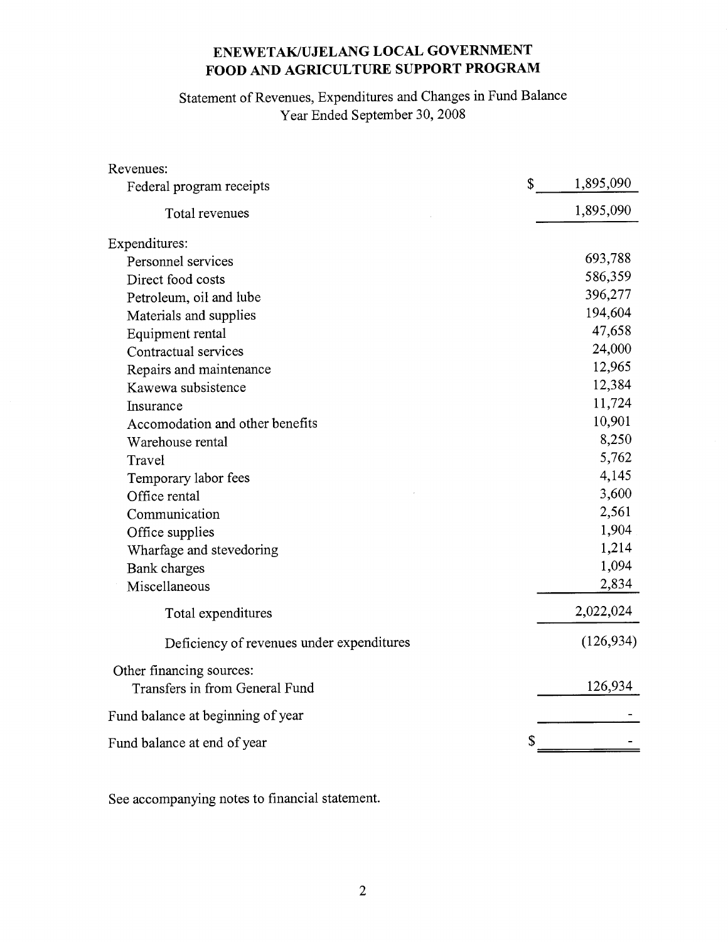# Statement of Revenues, Expenditures and Changes in Fund Balance Year Ended September 30, 2008

| Revenues:                                 |                 |
|-------------------------------------------|-----------------|
| Federal program receipts                  | 1,895,090<br>\$ |
| Total revenues                            | 1,895,090       |
| Expenditures:                             |                 |
| Personnel services                        | 693,788         |
| Direct food costs                         | 586,359         |
| Petroleum, oil and lube                   | 396,277         |
| Materials and supplies                    | 194,604         |
| Equipment rental                          | 47,658          |
| Contractual services                      | 24,000          |
| Repairs and maintenance                   | 12,965          |
| Kawewa subsistence                        | 12,384          |
| Insurance                                 | 11,724          |
| Accomodation and other benefits           | 10,901          |
| Warehouse rental                          | 8,250           |
| Travel                                    | 5,762           |
| Temporary labor fees                      | 4,145           |
| Office rental                             | 3,600           |
| Communication                             | 2,561           |
| Office supplies                           | 1,904           |
| Wharfage and stevedoring                  | 1,214           |
| <b>Bank</b> charges                       | 1,094           |
| Miscellaneous                             | 2,834           |
| Total expenditures                        | 2,022,024       |
| Deficiency of revenues under expenditures | (126, 934)      |
| Other financing sources:                  |                 |
| Transfers in from General Fund            | 126,934         |
| Fund balance at beginning of year         |                 |
| Fund balance at end of year               | \$              |

See accompanying notes to financial statement.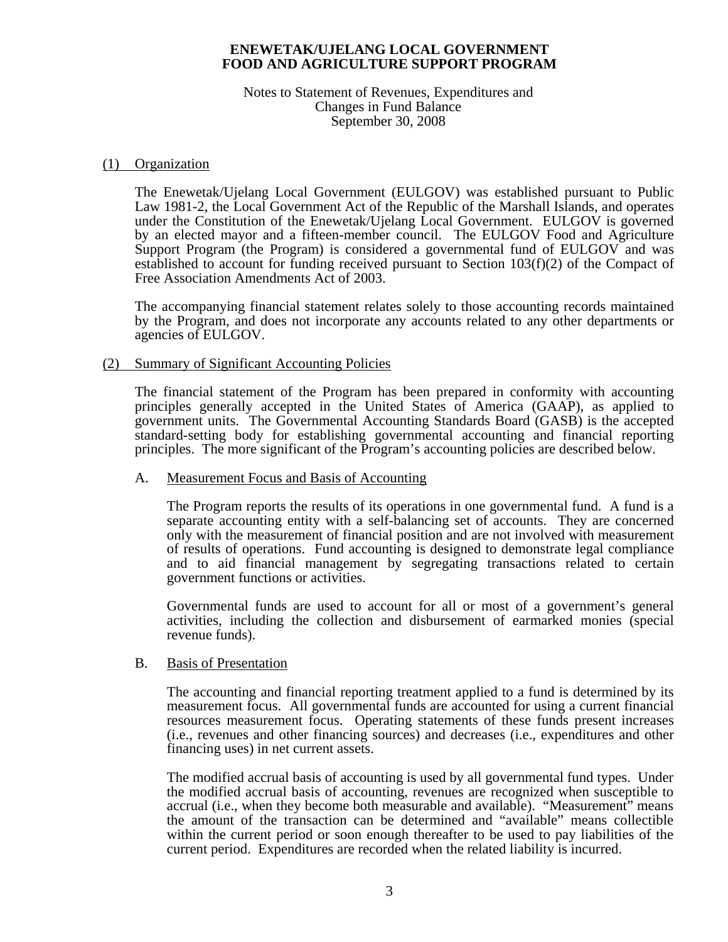#### Notes to Statement of Revenues, Expenditures and Changes in Fund Balance September 30, 2008

#### (1) Organization

 The Enewetak/Ujelang Local Government (EULGOV) was established pursuant to Public Law 1981-2, the Local Government Act of the Republic of the Marshall Islands, and operates under the Constitution of the Enewetak/Ujelang Local Government. EULGOV is governed by an elected mayor and a fifteen-member council. The EULGOV Food and Agriculture Support Program (the Program) is considered a governmental fund of EULGOV and was established to account for funding received pursuant to Section  $103(f)(2)$  of the Compact of Free Association Amendments Act of 2003.

 The accompanying financial statement relates solely to those accounting records maintained by the Program, and does not incorporate any accounts related to any other departments or agencies of EULGOV.

## (2) Summary of Significant Accounting Policies

 The financial statement of the Program has been prepared in conformity with accounting principles generally accepted in the United States of America (GAAP), as applied to government units. The Governmental Accounting Standards Board (GASB) is the accepted standard-setting body for establishing governmental accounting and financial reporting principles. The more significant of the Program's accounting policies are described below.

## A. Measurement Focus and Basis of Accounting

The Program reports the results of its operations in one governmental fund. A fund is a separate accounting entity with a self-balancing set of accounts. They are concerned only with the measurement of financial position and are not involved with measurement of results of operations. Fund accounting is designed to demonstrate legal compliance and to aid financial management by segregating transactions related to certain government functions or activities.

Governmental funds are used to account for all or most of a government's general activities, including the collection and disbursement of earmarked monies (special revenue funds).

## B. Basis of Presentation

The accounting and financial reporting treatment applied to a fund is determined by its measurement focus. All governmental funds are accounted for using a current financial resources measurement focus. Operating statements of these funds present increases (i.e., revenues and other financing sources) and decreases (i.e., expenditures and other financing uses) in net current assets.

The modified accrual basis of accounting is used by all governmental fund types. Under the modified accrual basis of accounting, revenues are recognized when susceptible to accrual (i.e., when they become both measurable and available). "Measurement" means the amount of the transaction can be determined and "available" means collectible within the current period or soon enough thereafter to be used to pay liabilities of the current period. Expenditures are recorded when the related liability is incurred.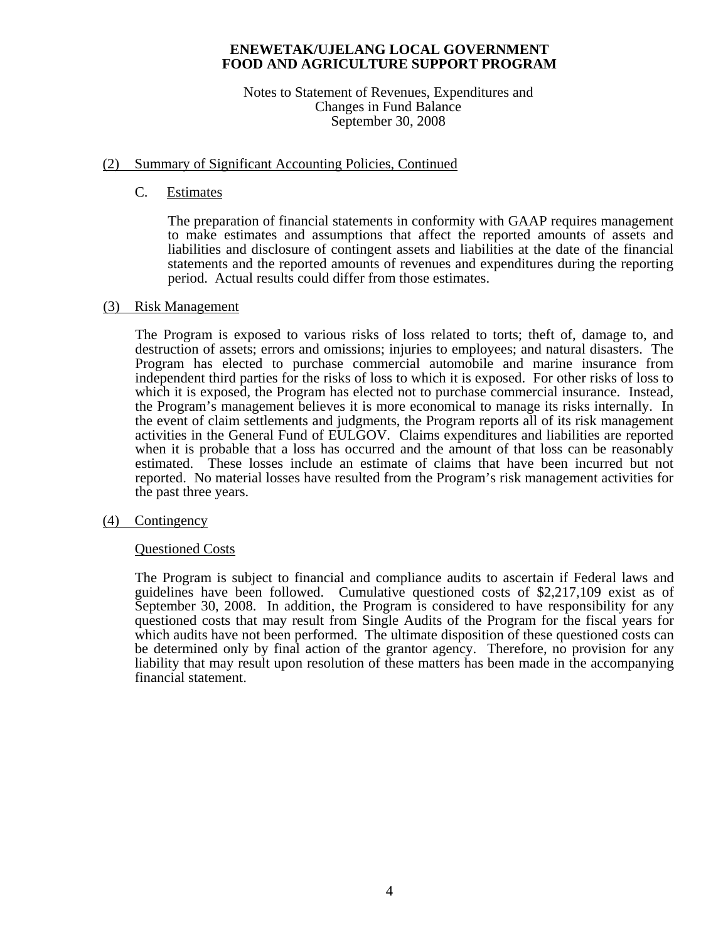#### Notes to Statement of Revenues, Expenditures and Changes in Fund Balance September 30, 2008

# (2) Summary of Significant Accounting Policies, Continued

# C. Estimates

 The preparation of financial statements in conformity with GAAP requires management to make estimates and assumptions that affect the reported amounts of assets and liabilities and disclosure of contingent assets and liabilities at the date of the financial statements and the reported amounts of revenues and expenditures during the reporting period. Actual results could differ from those estimates.

## (3) Risk Management

The Program is exposed to various risks of loss related to torts; theft of, damage to, and destruction of assets; errors and omissions; injuries to employees; and natural disasters. The Program has elected to purchase commercial automobile and marine insurance from independent third parties for the risks of loss to which it is exposed. For other risks of loss to which it is exposed, the Program has elected not to purchase commercial insurance. Instead, the Program's management believes it is more economical to manage its risks internally. In the event of claim settlements and judgments, the Program reports all of its risk management activities in the General Fund of EULGOV. Claims expenditures and liabilities are reported when it is probable that a loss has occurred and the amount of that loss can be reasonably estimated. These losses include an estimate of claims that have been incurred but not reported. No material losses have resulted from the Program's risk management activities for the past three years.

## (4) Contingency

# Questioned Costs

 The Program is subject to financial and compliance audits to ascertain if Federal laws and guidelines have been followed. Cumulative questioned costs of \$2,217,109 exist as of September 30, 2008. In addition, the Program is considered to have responsibility for any questioned costs that may result from Single Audits of the Program for the fiscal years for which audits have not been performed. The ultimate disposition of these questioned costs can be determined only by final action of the grantor agency. Therefore, no provision for any liability that may result upon resolution of these matters has been made in the accompanying financial statement.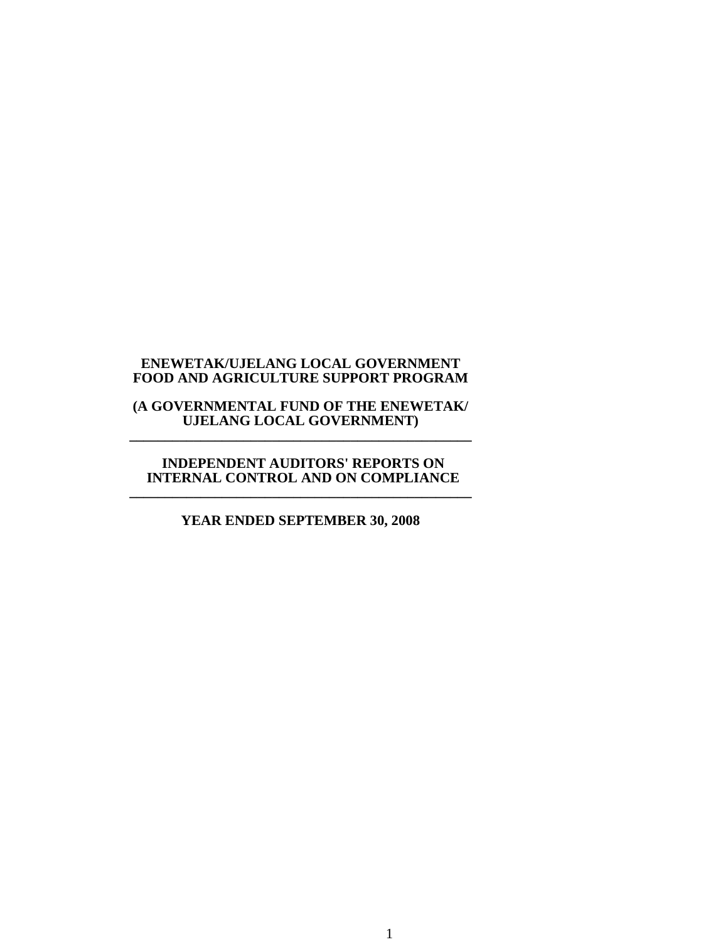# **(A GOVERNMENTAL FUND OF THE ENEWETAK/**  UJELANG LOCAL GOVERNMENT)

### **INDEPENDENT AUDITORS' REPORTS ON INTERNAL CONTROL AND ON COMPLIANCE**

# **YEAR ENDED SEPTEMBER 30, 2008**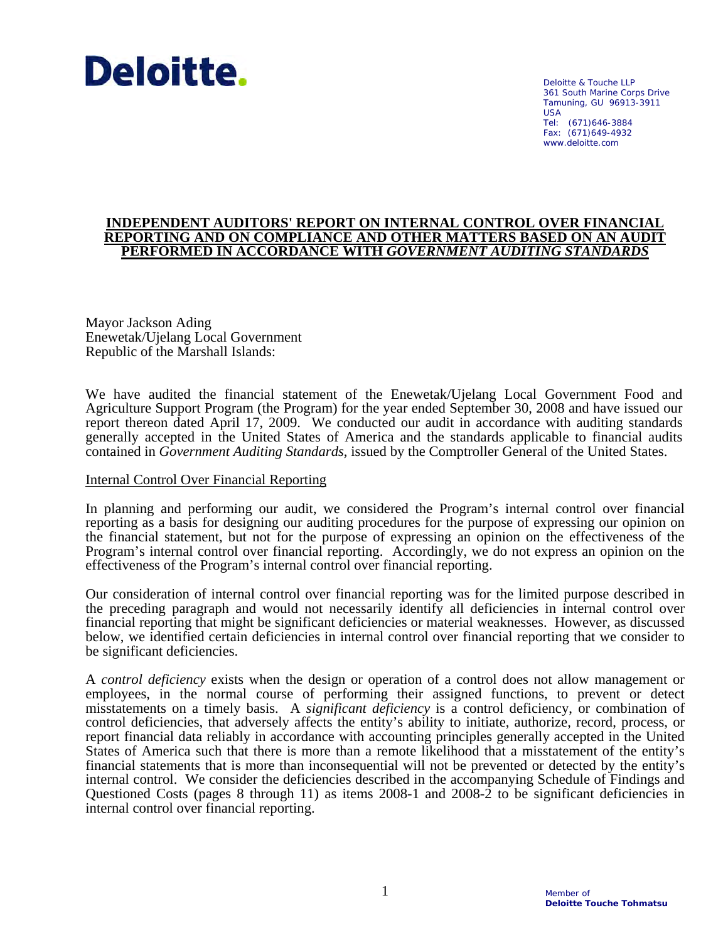

Deloitte & Touche LLP 361 South Marine Corps Drive Tamuning, GU 96913-3911 USA Tel: (671)646-3884 Fax: (671)649-4932 www.deloitte.com

### **INDEPENDENT AUDITORS' REPORT ON INTERNAL CONTROL OVER FINANCIAL REPORTING AND ON COMPLIANCE AND OTHER MATTERS BASED ON AN AUDIT PERFORMED IN ACCORDANCE WITH** *GOVERNMENT AUDITING STANDARDS*

Mayor Jackson Ading Enewetak/Ujelang Local Government Republic of the Marshall Islands:

We have audited the financial statement of the Enewetak/Ujelang Local Government Food and Agriculture Support Program (the Program) for the year ended September 30, 2008 and have issued our report thereon dated April 17, 2009. We conducted our audit in accordance with auditing standards generally accepted in the United States of America and the standards applicable to financial audits contained in *Government Auditing Standards*, issued by the Comptroller General of the United States.

#### Internal Control Over Financial Reporting

In planning and performing our audit, we considered the Program's internal control over financial reporting as a basis for designing our auditing procedures for the purpose of expressing our opinion on the financial statement, but not for the purpose of expressing an opinion on the effectiveness of the Program's internal control over financial reporting. Accordingly, we do not express an opinion on the effectiveness of the Program's internal control over financial reporting.

Our consideration of internal control over financial reporting was for the limited purpose described in the preceding paragraph and would not necessarily identify all deficiencies in internal control over financial reporting that might be significant deficiencies or material weaknesses. However, as discussed below, we identified certain deficiencies in internal control over financial reporting that we consider to be significant deficiencies.

A *control deficiency* exists when the design or operation of a control does not allow management or employees, in the normal course of performing their assigned functions, to prevent or detect misstatements on a timely basis. A *significant deficiency* is a control deficiency, or combination of control deficiencies, that adversely affects the entity's ability to initiate, authorize, record, process, or report financial data reliably in accordance with accounting principles generally accepted in the United States of America such that there is more than a remote likelihood that a misstatement of the entity's financial statements that is more than inconsequential will not be prevented or detected by the entity's internal control. We consider the deficiencies described in the accompanying Schedule of Findings and Questioned Costs (pages 8 through 11) as items 2008-1 and 2008-2 to be significant deficiencies in internal control over financial reporting.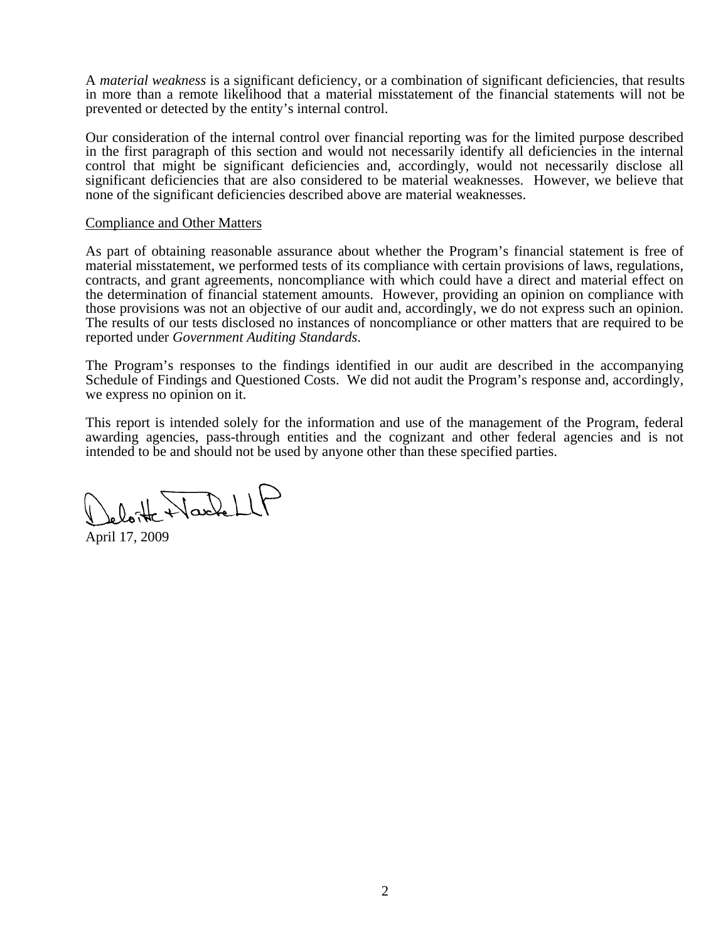A *material weakness* is a significant deficiency, or a combination of significant deficiencies, that results in more than a remote likelihood that a material misstatement of the financial statements will not be prevented or detected by the entity's internal control.

Our consideration of the internal control over financial reporting was for the limited purpose described in the first paragraph of this section and would not necessarily identify all deficiencies in the internal control that might be significant deficiencies and, accordingly, would not necessarily disclose all significant deficiencies that are also considered to be material weaknesses. However, we believe that none of the significant deficiencies described above are material weaknesses.

### Compliance and Other Matters

As part of obtaining reasonable assurance about whether the Program's financial statement is free of material misstatement, we performed tests of its compliance with certain provisions of laws, regulations, contracts, and grant agreements, noncompliance with which could have a direct and material effect on the determination of financial statement amounts. However, providing an opinion on compliance with those provisions was not an objective of our audit and, accordingly, we do not express such an opinion. The results of our tests disclosed no instances of noncompliance or other matters that are required to be reported under *Government Auditing Standards*.

The Program's responses to the findings identified in our audit are described in the accompanying Schedule of Findings and Questioned Costs. We did not audit the Program's response and, accordingly, we express no opinion on it.

This report is intended solely for the information and use of the management of the Program, federal awarding agencies, pass-through entities and the cognizant and other federal agencies and is not intended to be and should not be used by anyone other than these specified parties.

latte Nachell

April 17, 2009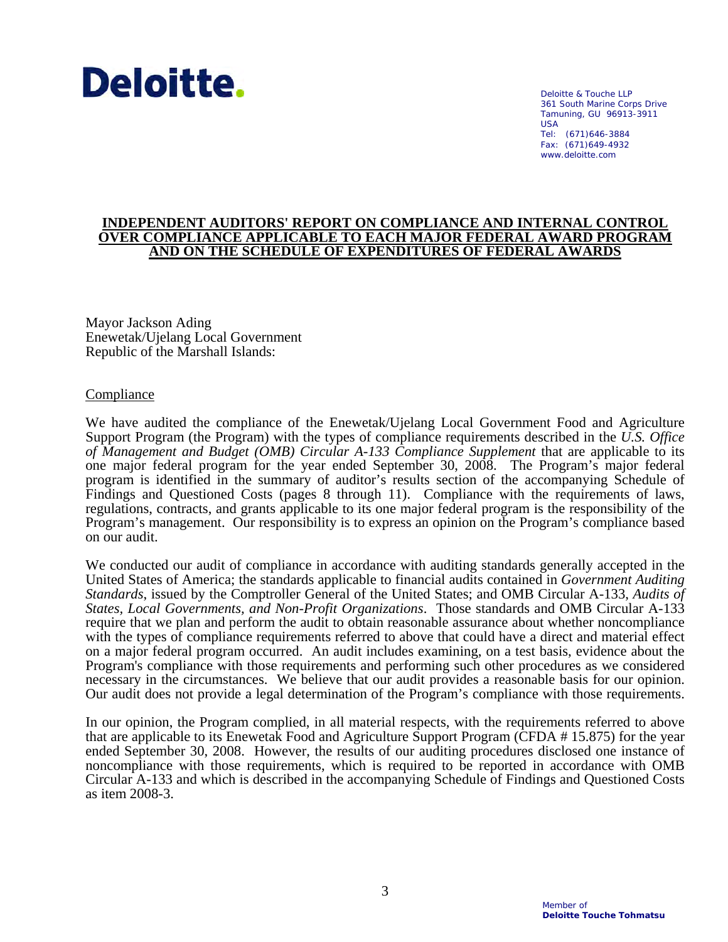

Deloitte & Touche LLP 361 South Marine Corps Drive Tamuning, GU 96913-3911 USA Tel: (671)646-3884 Fax: (671)649-4932 www.deloitte.com

#### **INDEPENDENT AUDITORS' REPORT ON COMPLIANCE AND INTERNAL CONTROL OVER COMPLIANCE APPLICABLE TO EACH MAJOR FEDERAL AWARD PROGRAM AND ON THE SCHEDULE OF EXPENDITURES OF FEDERAL AWARDS**

Mayor Jackson Ading Enewetak/Ujelang Local Government Republic of the Marshall Islands:

#### Compliance

We have audited the compliance of the Enewetak/Ujelang Local Government Food and Agriculture Support Program (the Program) with the types of compliance requirements described in the *U.S. Office of Management and Budget (OMB) Circular A-133 Compliance Supplement* that are applicable to its one major federal program for the year ended September 30, 2008. The Program's major federal program is identified in the summary of auditor's results section of the accompanying Schedule of Findings and Questioned Costs (pages 8 through 11). Compliance with the requirements of laws, regulations, contracts, and grants applicable to its one major federal program is the responsibility of the Program's management. Our responsibility is to express an opinion on the Program's compliance based on our audit.

We conducted our audit of compliance in accordance with auditing standards generally accepted in the United States of America; the standards applicable to financial audits contained in *Government Auditing Standards*, issued by the Comptroller General of the United States; and OMB Circular A-133, *Audits of States, Local Governments, and Non-Profit Organizations*. Those standards and OMB Circular A-133 require that we plan and perform the audit to obtain reasonable assurance about whether noncompliance with the types of compliance requirements referred to above that could have a direct and material effect on a major federal program occurred. An audit includes examining, on a test basis, evidence about the Program's compliance with those requirements and performing such other procedures as we considered necessary in the circumstances. We believe that our audit provides a reasonable basis for our opinion. Our audit does not provide a legal determination of the Program's compliance with those requirements.

In our opinion, the Program complied, in all material respects, with the requirements referred to above that are applicable to its Enewetak Food and Agriculture Support Program (CFDA # 15.875) for the year ended September 30, 2008. However, the results of our auditing procedures disclosed one instance of noncompliance with those requirements, which is required to be reported in accordance with OMB Circular A-133 and which is described in the accompanying Schedule of Findings and Questioned Costs as item 2008-3.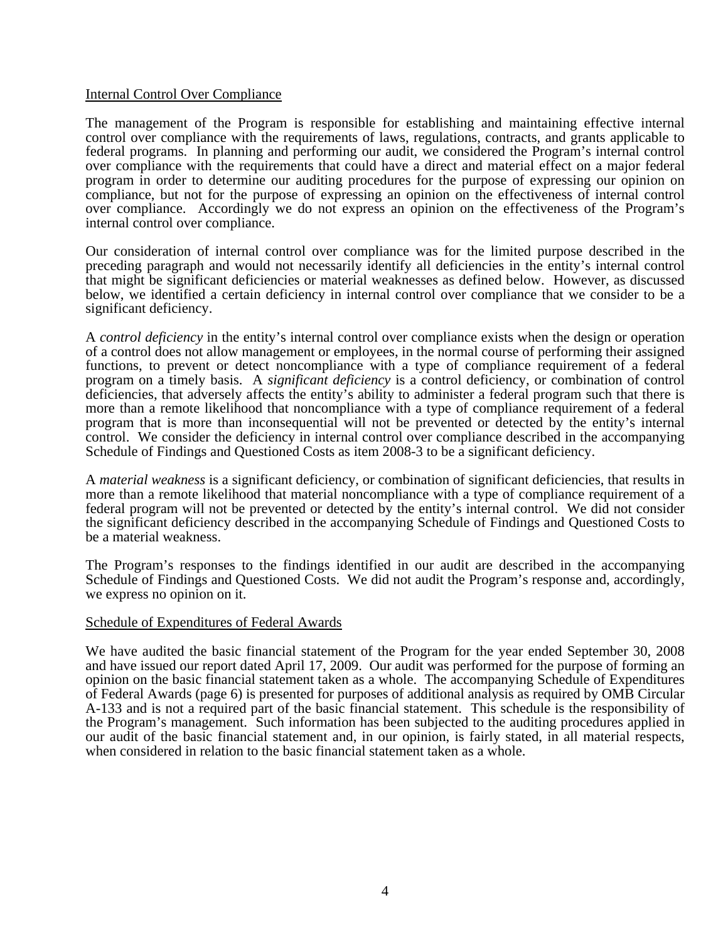## Internal Control Over Compliance

The management of the Program is responsible for establishing and maintaining effective internal control over compliance with the requirements of laws, regulations, contracts, and grants applicable to federal programs. In planning and performing our audit, we considered the Program's internal control over compliance with the requirements that could have a direct and material effect on a major federal program in order to determine our auditing procedures for the purpose of expressing our opinion on compliance, but not for the purpose of expressing an opinion on the effectiveness of internal control over compliance. Accordingly we do not express an opinion on the effectiveness of the Program's internal control over compliance.

Our consideration of internal control over compliance was for the limited purpose described in the preceding paragraph and would not necessarily identify all deficiencies in the entity's internal control that might be significant deficiencies or material weaknesses as defined below. However, as discussed below, we identified a certain deficiency in internal control over compliance that we consider to be a significant deficiency.

A *control deficiency* in the entity's internal control over compliance exists when the design or operation of a control does not allow management or employees, in the normal course of performing their assigned functions, to prevent or detect noncompliance with a type of compliance requirement of a federal program on a timely basis. A *significant deficiency* is a control deficiency, or combination of control deficiencies, that adversely affects the entity's ability to administer a federal program such that there is more than a remote likelihood that noncompliance with a type of compliance requirement of a federal program that is more than inconsequential will not be prevented or detected by the entity's internal control. We consider the deficiency in internal control over compliance described in the accompanying Schedule of Findings and Questioned Costs as item 2008-3 to be a significant deficiency.

A *material weakness* is a significant deficiency, or combination of significant deficiencies, that results in more than a remote likelihood that material noncompliance with a type of compliance requirement of a federal program will not be prevented or detected by the entity's internal control. We did not consider the significant deficiency described in the accompanying Schedule of Findings and Questioned Costs to be a material weakness.

The Program's responses to the findings identified in our audit are described in the accompanying Schedule of Findings and Questioned Costs. We did not audit the Program's response and, accordingly, we express no opinion on it.

## Schedule of Expenditures of Federal Awards

We have audited the basic financial statement of the Program for the year ended September 30, 2008 and have issued our report dated April 17, 2009. Our audit was performed for the purpose of forming an opinion on the basic financial statement taken as a whole. The accompanying Schedule of Expenditures of Federal Awards (page 6) is presented for purposes of additional analysis as required by OMB Circular A-133 and is not a required part of the basic financial statement. This schedule is the responsibility of the Program's management. Such information has been subjected to the auditing procedures applied in our audit of the basic financial statement and, in our opinion, is fairly stated, in all material respects, when considered in relation to the basic financial statement taken as a whole.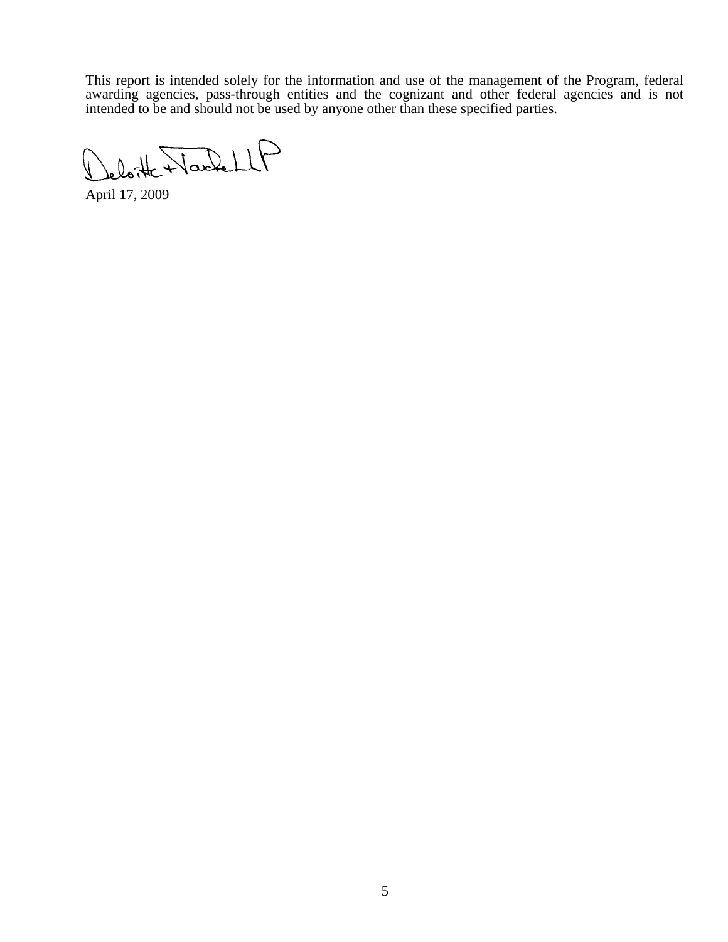This report is intended solely for the information and use of the management of the Program, federal awarding agencies, pass-through entities and the cognizant and other federal agencies and is not intended to be and should not be used by anyone other than these specified parties.

leloite NachellP

April 17, 2009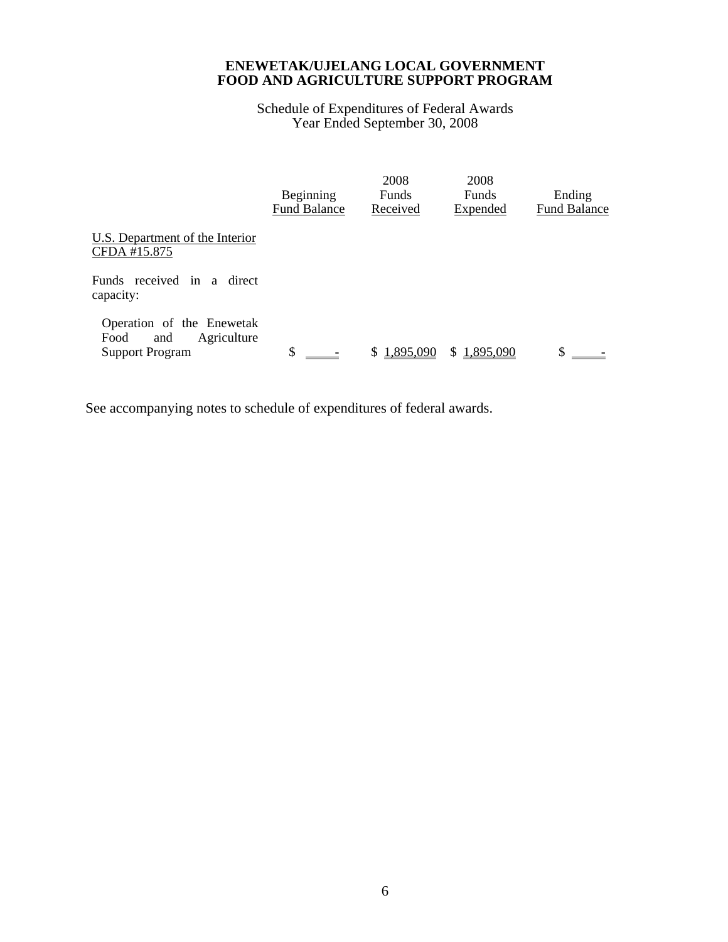Schedule of Expenditures of Federal Awards Year Ended September 30, 2008

|                                                                                   | Beginning<br><b>Fund Balance</b> | 2008<br><b>Funds</b><br>Received | 2008<br><b>Funds</b><br>Expended | Ending<br><b>Fund Balance</b> |
|-----------------------------------------------------------------------------------|----------------------------------|----------------------------------|----------------------------------|-------------------------------|
| U.S. Department of the Interior<br>CFDA #15.875                                   |                                  |                                  |                                  |                               |
| Funds received in a direct<br>capacity:                                           |                                  |                                  |                                  |                               |
| Operation of the Enewetak<br>Food<br>Agriculture<br>and<br><b>Support Program</b> | \$                               | 1,895,090                        | 1,895,090<br>SS.                 | \$                            |

See accompanying notes to schedule of expenditures of federal awards.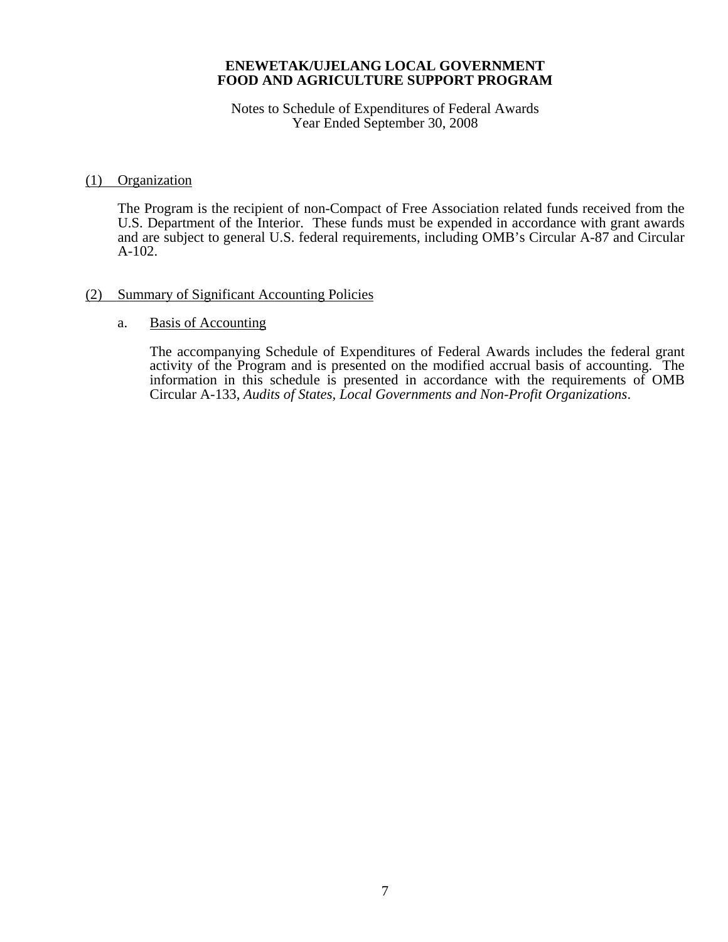Notes to Schedule of Expenditures of Federal Awards Year Ended September 30, 2008

## (1) Organization

 The Program is the recipient of non-Compact of Free Association related funds received from the U.S. Department of the Interior. These funds must be expended in accordance with grant awards and are subject to general U.S. federal requirements, including OMB's Circular A-87 and Circular A-102.

# (2) Summary of Significant Accounting Policies

## a. Basis of Accounting

The accompanying Schedule of Expenditures of Federal Awards includes the federal grant activity of the Program and is presented on the modified accrual basis of accounting. The information in this schedule is presented in accordance with the requirements of OMB Circular A-133, *Audits of States, Local Governments and Non-Profit Organizations*.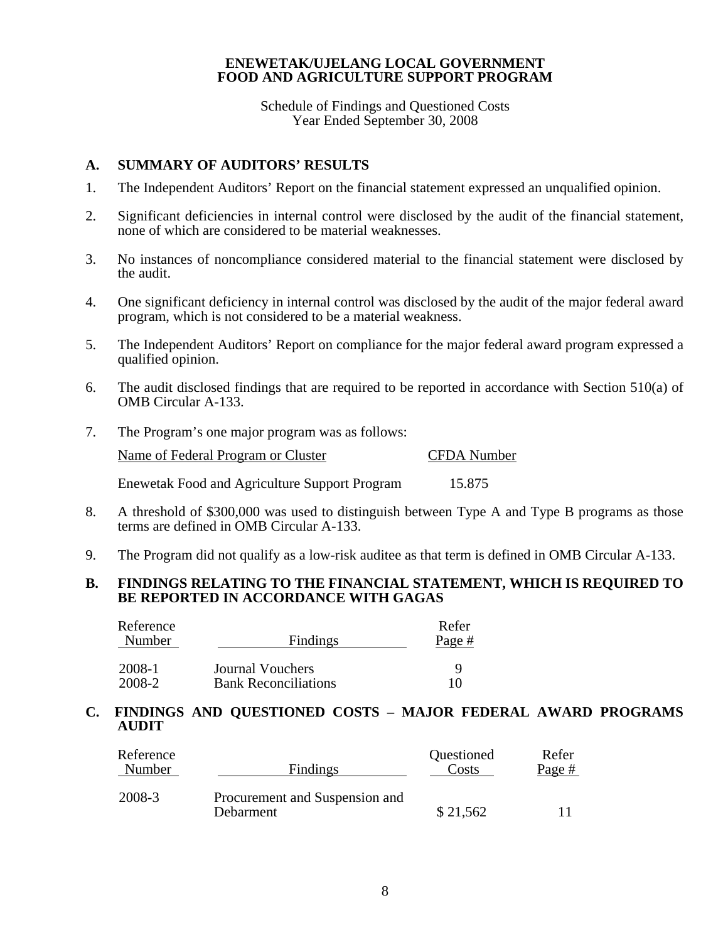Schedule of Findings and Questioned Costs Year Ended September 30, 2008

# **A. SUMMARY OF AUDITORS' RESULTS**

- 1. The Independent Auditors' Report on the financial statement expressed an unqualified opinion.
- 2. Significant deficiencies in internal control were disclosed by the audit of the financial statement, none of which are considered to be material weaknesses.
- 3. No instances of noncompliance considered material to the financial statement were disclosed by the audit.
- 4. One significant deficiency in internal control was disclosed by the audit of the major federal award program, which is not considered to be a material weakness.
- 5. The Independent Auditors' Report on compliance for the major federal award program expressed a qualified opinion.
- 6. The audit disclosed findings that are required to be reported in accordance with Section 510(a) of OMB Circular A-133.
- 7. The Program's one major program was as follows: Name of Federal Program or Cluster CFDA Number Enewetak Food and Agriculture Support Program 15.875
- 8. A threshold of \$300,000 was used to distinguish between Type A and Type B programs as those terms are defined in OMB Circular A-133.
- 9. The Program did not qualify as a low-risk auditee as that term is defined in OMB Circular A-133.

# **B. FINDINGS RELATING TO THE FINANCIAL STATEMENT, WHICH IS REQUIRED TO BE REPORTED IN ACCORDANCE WITH GAGAS**

| Reference<br>Number | Findings                    | Refer<br>Page # |  |
|---------------------|-----------------------------|-----------------|--|
| 2008-1              | Journal Vouchers            |                 |  |
| 2008-2              | <b>Bank Reconciliations</b> | ۱ ( )           |  |

# **C. FINDINGS AND QUESTIONED COSTS – MAJOR FEDERAL AWARD PROGRAMS AUDIT**

| Reference | Findings                                    | Questioned | Refer  |
|-----------|---------------------------------------------|------------|--------|
| Number    |                                             | Costs      | Page # |
| 2008-3    | Procurement and Suspension and<br>Debarment | \$21,562   |        |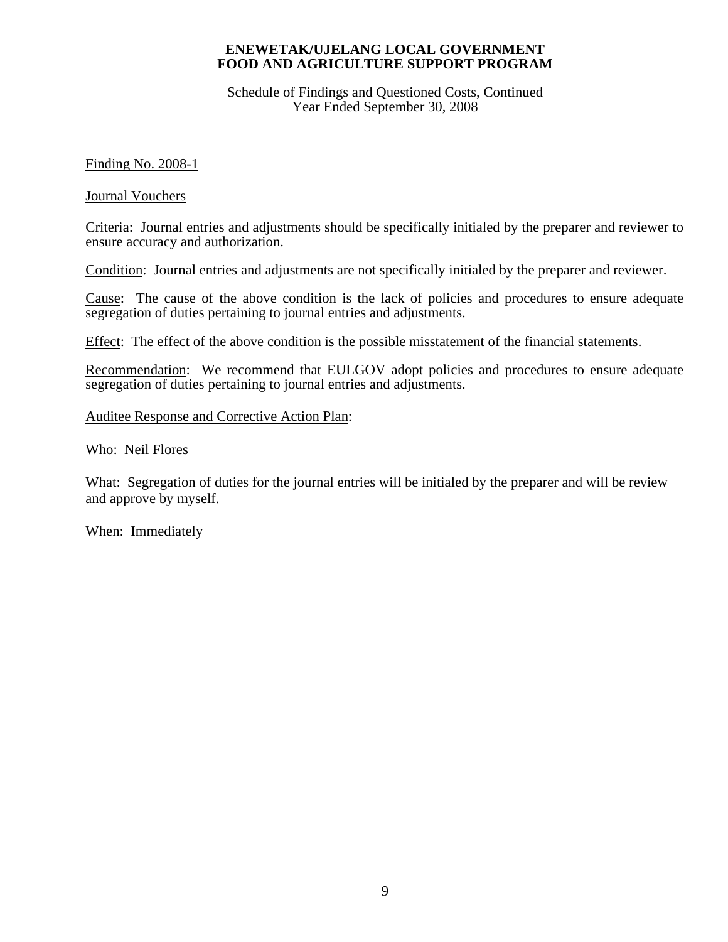Schedule of Findings and Questioned Costs, Continued Year Ended September 30, 2008

Finding No. 2008-1

Journal Vouchers

Criteria: Journal entries and adjustments should be specifically initialed by the preparer and reviewer to ensure accuracy and authorization.

Condition: Journal entries and adjustments are not specifically initialed by the preparer and reviewer.

Cause: The cause of the above condition is the lack of policies and procedures to ensure adequate segregation of duties pertaining to journal entries and adjustments.

Effect: The effect of the above condition is the possible misstatement of the financial statements.

Recommendation: We recommend that EULGOV adopt policies and procedures to ensure adequate segregation of duties pertaining to journal entries and adjustments.

Auditee Response and Corrective Action Plan:

Who: Neil Flores

What: Segregation of duties for the journal entries will be initialed by the preparer and will be review and approve by myself.

When: Immediately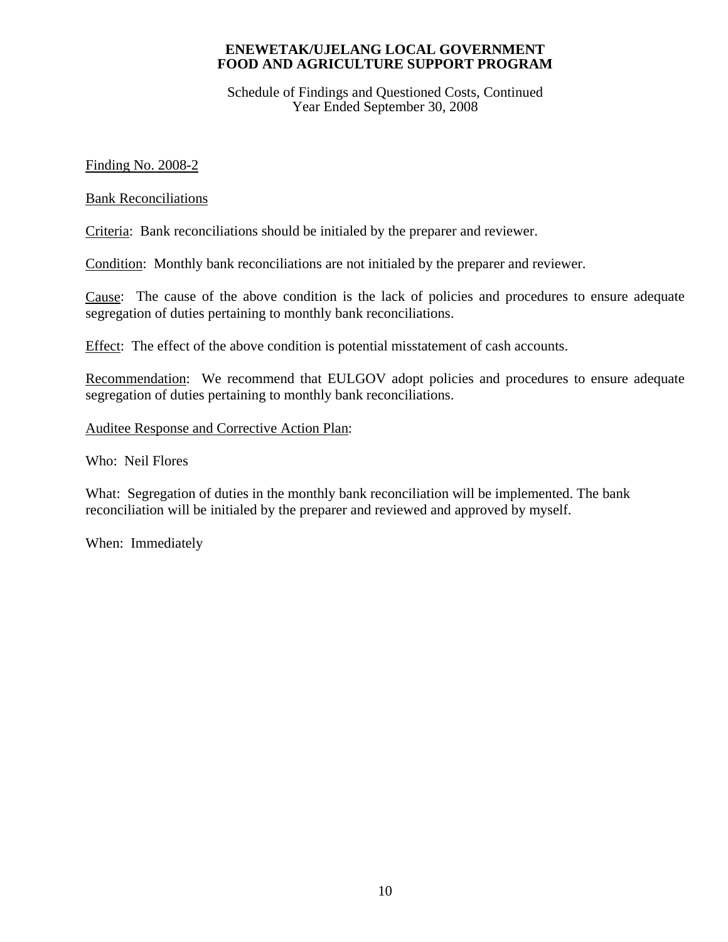Schedule of Findings and Questioned Costs, Continued Year Ended September 30, 2008

Finding No. 2008-2

Bank Reconciliations

Criteria: Bank reconciliations should be initialed by the preparer and reviewer.

Condition: Monthly bank reconciliations are not initialed by the preparer and reviewer.

Cause: The cause of the above condition is the lack of policies and procedures to ensure adequate segregation of duties pertaining to monthly bank reconciliations.

Effect: The effect of the above condition is potential misstatement of cash accounts.

Recommendation: We recommend that EULGOV adopt policies and procedures to ensure adequate segregation of duties pertaining to monthly bank reconciliations.

Auditee Response and Corrective Action Plan:

Who: Neil Flores

What: Segregation of duties in the monthly bank reconciliation will be implemented. The bank reconciliation will be initialed by the preparer and reviewed and approved by myself.

When: Immediately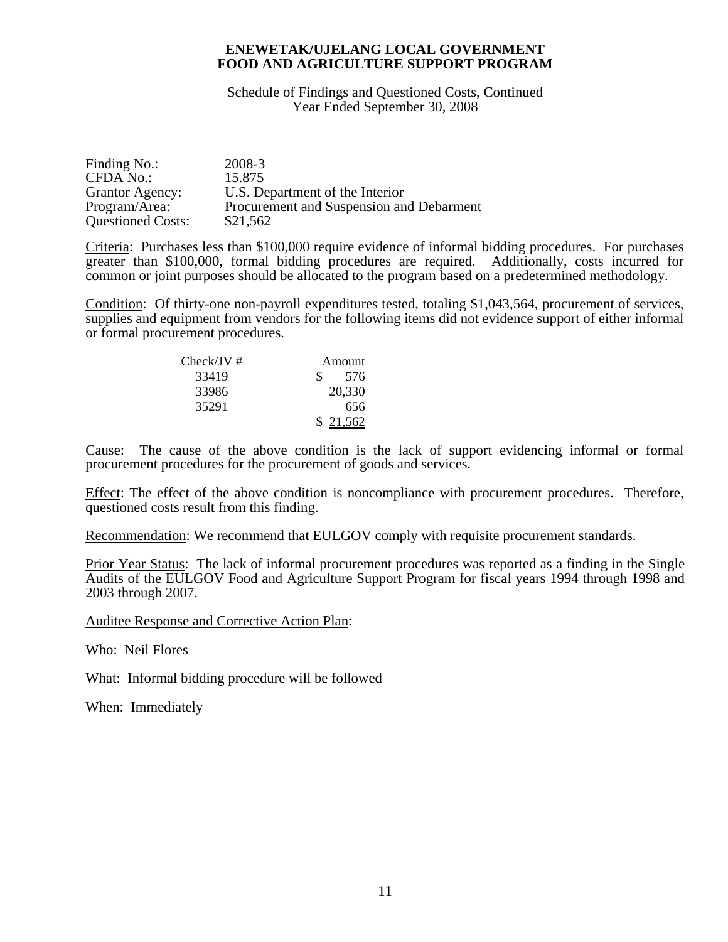Schedule of Findings and Questioned Costs, Continued Year Ended September 30, 2008

| Finding No.:             | 2008-3                                   |
|--------------------------|------------------------------------------|
| CFDA No.:                | 15.875                                   |
| <b>Grantor Agency:</b>   | U.S. Department of the Interior          |
| Program/Area:            | Procurement and Suspension and Debarment |
| <b>Questioned Costs:</b> | \$21,562                                 |

Criteria: Purchases less than \$100,000 require evidence of informal bidding procedures. For purchases greater than \$100,000, formal bidding procedures are required. Additionally, costs incurred for common or joint purposes should be allocated to the program based on a predetermined methodology.

Condition: Of thirty-one non-payroll expenditures tested, totaling \$1,043,564, procurement of services, supplies and equipment from vendors for the following items did not evidence support of either informal or formal procurement procedures.

| Check/JV# | Amount   |
|-----------|----------|
| 33419     | 576      |
| 33986     | 20,330   |
| 35291     | 656      |
|           | \$21,562 |

Cause: The cause of the above condition is the lack of support evidencing informal or formal procurement procedures for the procurement of goods and services.

Effect: The effect of the above condition is noncompliance with procurement procedures. Therefore, questioned costs result from this finding.

Recommendation: We recommend that EULGOV comply with requisite procurement standards.

Prior Year Status: The lack of informal procurement procedures was reported as a finding in the Single Audits of the EULGOV Food and Agriculture Support Program for fiscal years 1994 through 1998 and 2003 through 2007.

Auditee Response and Corrective Action Plan:

Who: Neil Flores

What: Informal bidding procedure will be followed

When: Immediately